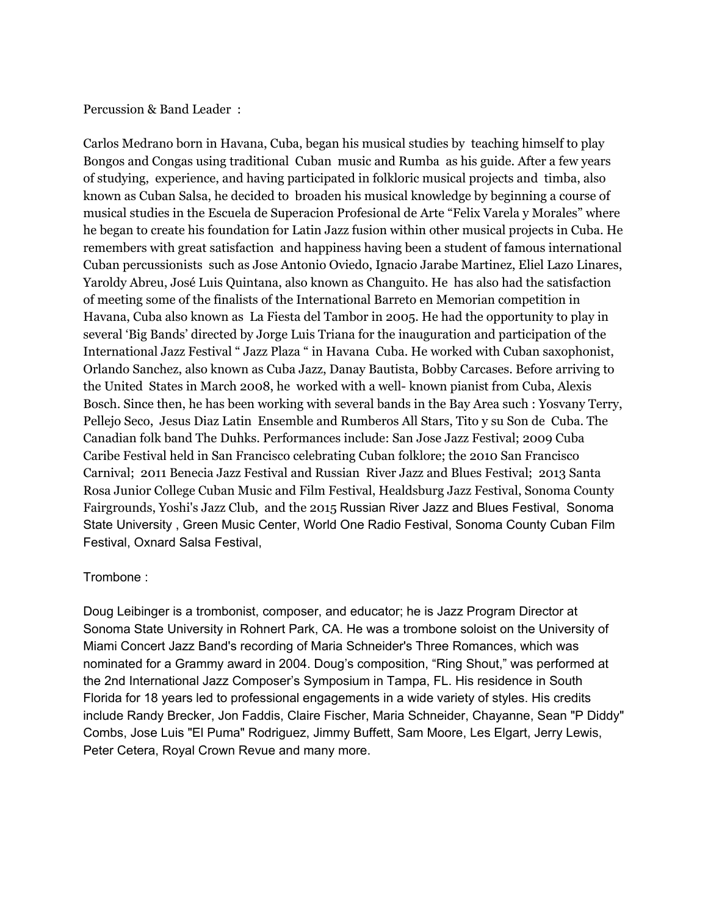Percussion & Band Leader :

Carlos Medrano born in Havana, Cuba, began his musical studies by teaching himself to play Bongos and Congas using traditional Cuban music and Rumba as his guide. After a few years of studying, experience, and having participated in folkloric musical projects and timba, also known as Cuban Salsa, he decided to broaden his musical knowledge by beginning a course of musical studies in the Escuela de Superacion Profesional de Arte "Felix Varela y Morales" where he began to create his foundation for Latin Jazz fusion within other musical projects in Cuba. He remembers with great satisfaction and happiness having been a student of famous international Cuban percussionists such as Jose Antonio Oviedo, Ignacio Jarabe Martinez, Eliel Lazo Linares, Yaroldy Abreu, José Luis Quintana, also known as Changuito. He has also had the satisfaction of meeting some of the finalists of the International Barreto en Memorian competition in Havana, Cuba also known as La Fiesta del Tambor in 2005. He had the opportunity to play in several 'Big Bands' directed by Jorge Luis Triana for the inauguration and participation of the International Jazz Festival " Jazz Plaza " in Havana Cuba. He worked with Cuban saxophonist, Orlando Sanchez, also known as Cuba Jazz, Danay Bautista, Bobby Carcases. Before arriving to the United States in March 2008, he worked with a well- known pianist from Cuba, Alexis Bosch. Since then, he has been working with several bands in the Bay Area such : Yosvany Terry, Pellejo Seco, Jesus Diaz Latin Ensemble and Rumberos All Stars, Tito y su Son de Cuba. The Canadian folk band The Duhks. Performances include: San Jose Jazz Festival; 2009 Cuba Caribe Festival held in San Francisco celebrating Cuban folklore; the 2010 San Francisco Carnival; 2011 Benecia Jazz Festival and Russian River Jazz and Blues Festival; 2013 Santa Rosa Junior College Cuban Music and Film Festival, Healdsburg Jazz Festival, Sonoma County Fairgrounds, Yoshi's Jazz Club, and the 2015 Russian River Jazz and Blues Festival, Sonoma State University , Green Music Center, World One Radio Festival, Sonoma County Cuban Film Festival, Oxnard Salsa Festival,

## Trombone :

Doug Leibinger is a trombonist, composer, and educator; he is Jazz Program Director at Sonoma State University in Rohnert Park, CA. He was a trombone soloist on the University of Miami Concert Jazz Band's recording of Maria Schneider's Three Romances, which was nominated for a Grammy award in 2004. Doug's composition, "Ring Shout," was performed at the 2nd International Jazz Composer's Symposium in Tampa, FL. His residence in South Florida for 18 years led to professional engagements in a wide variety of styles. His credits include Randy Brecker, Jon Faddis, Claire Fischer, Maria Schneider, Chayanne, Sean "P Diddy" Combs, Jose Luis "El Puma" Rodriguez, Jimmy Buffett, Sam Moore, Les Elgart, Jerry Lewis, Peter Cetera, Royal Crown Revue and many more.